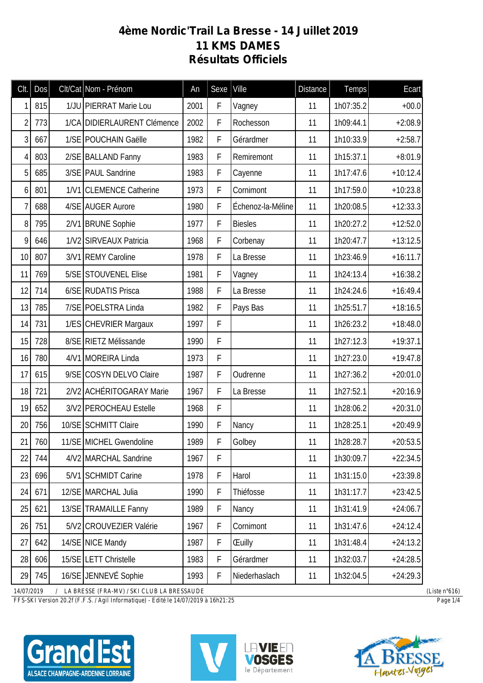## **4ème Nordic'Trail La Bresse - 14 Juillet 2019 11 KMS DAMES Résultats Officiels**

| Clt.           | Dos | Clt/Cat Nom - Prénom        | An   | Sexe        | Ville             | <b>Distance</b> | Temps     | Ecart      |
|----------------|-----|-----------------------------|------|-------------|-------------------|-----------------|-----------|------------|
| 1              | 815 | 1/JU PIERRAT Marie Lou      | 2001 | F           | Vagney            | 11              | 1h07:35.2 | $+00.0$    |
| $\overline{2}$ | 773 | 1/CA DIDIERLAURENT Clémence | 2002 | F           | Rochesson         | 11              | 1h09:44.1 | $+2:08.9$  |
| 3              | 667 | 1/SE POUCHAIN Gaëlle        | 1982 | F           | Gérardmer         | 11              | 1h10:33.9 | $+2:58.7$  |
| 4              | 803 | 2/SE BALLAND Fanny          | 1983 | F           | Remiremont        | 11              | 1h15:37.1 | $+8:01.9$  |
| 5              | 685 | 3/SE PAUL Sandrine          | 1983 | F           | Cayenne           | 11              | 1h17:47.6 | $+10:12.4$ |
| 6              | 801 | 1/V1 CLEMENCE Catherine     | 1973 | F           | Cornimont         | 11              | 1h17:59.0 | $+10:23.8$ |
| 7              | 688 | 4/SE AUGER Aurore           | 1980 | F           | Échenoz-la-Méline | 11              | 1h20:08.5 | $+12:33.3$ |
| 8              | 795 | 2/V1 BRUNE Sophie           | 1977 | F           | <b>Biesles</b>    | 11              | 1h20:27.2 | $+12:52.0$ |
| 9              | 646 | 1/V2 SIRVEAUX Patricia      | 1968 | F           | Corbenay          | 11              | 1h20:47.7 | $+13:12.5$ |
| 10             | 807 | 3/V1 REMY Caroline          | 1978 | F           | La Bresse         | 11              | 1h23:46.9 | $+16:11.7$ |
| 11             | 769 | 5/SE STOUVENEL Elise        | 1981 | F           | Vagney            | 11              | 1h24:13.4 | $+16:38.2$ |
| 12             | 714 | 6/SE RUDATIS Prisca         | 1988 | F           | La Bresse         | 11              | 1h24:24.6 | $+16:49.4$ |
| 13             | 785 | 7/SE POELSTRA Linda         | 1982 | F           | Pays Bas          | 11              | 1h25:51.7 | $+18:16.5$ |
| 14             | 731 | 1/ES CHEVRIER Margaux       | 1997 | F           |                   | 11              | 1h26:23.2 | $+18:48.0$ |
| 15             | 728 | 8/SE RIETZ Mélissande       | 1990 | F           |                   | 11              | 1h27:12.3 | $+19:37.1$ |
| 16             | 780 | 4/V1 MOREIRA Linda          | 1973 | F           |                   | 11              | 1h27:23.0 | $+19:47.8$ |
| 17             | 615 | 9/SE COSYN DELVO Claire     | 1987 | F           | Oudrenne          | 11              | 1h27:36.2 | $+20:01.0$ |
| 18             | 721 | 2/V2 ACHÉRITOGARAY Marie    | 1967 | F           | La Bresse         | 11              | 1h27:52.1 | $+20:16.9$ |
| 19             | 652 | 3/V2 PEROCHEAU Estelle      | 1968 | F           |                   | 11              | 1h28:06.2 | $+20:31.0$ |
| 20             | 756 | 10/SE SCHMITT Claire        | 1990 | $\mathsf F$ | Nancy             | 11              | 1h28:25.1 | $+20:49.9$ |
| 21             | 760 | 11/SE MICHEL Gwendoline     | 1989 | F           | Golbey            | 11              | 1h28:28.7 | $+20:53.5$ |
| 22             | 744 | 4/V2 MARCHAL Sandrine       | 1967 | F           |                   | 11              | 1h30:09.7 | $+22:34.5$ |
| 23             | 696 | 5/V1 SCHMIDT Carine         | 1978 | F           | Harol             | 11              | 1h31:15.0 | $+23:39.8$ |
| 24             | 671 | 12/SE MARCHAL Julia         | 1990 | F           | Thiéfosse         | 11              | 1h31:17.7 | $+23:42.5$ |
| 25             | 621 | 13/SE TRAMAILLE Fanny       | 1989 | $\mathsf F$ | Nancy             | 11              | 1h31:41.9 | $+24:06.7$ |
| 26             | 751 | 5/V2 CROUVEZIER Valérie     | 1967 | $\mathsf F$ | Cornimont         | 11              | 1h31:47.6 | $+24:12.4$ |
| 27             | 642 | 14/SE NICE Mandy            | 1987 | $\mathsf F$ | <b>Euilly</b>     | 11              | 1h31:48.4 | $+24:13.2$ |
| 28             | 606 | 15/SE LETT Christelle       | 1983 | F           | Gérardmer         | 11              | 1h32:03.7 | $+24:28.5$ |
| 29             | 745 | 16/SE JENNEVÉ Sophie        | 1993 | F           | Niederhaslach     | 11              | 1h32:04.5 | $+24:29.3$ |

*14/07/2019 / LA BRESSE (FRA-MV) / SKI CLUB LA BRESSAUDE (Liste n°616)*

*FFS-SKI Version 20.2f (F.F.S. / Agil Informatique) - Edité le 14/07/2019 à 16h21:25 Page 1/4*







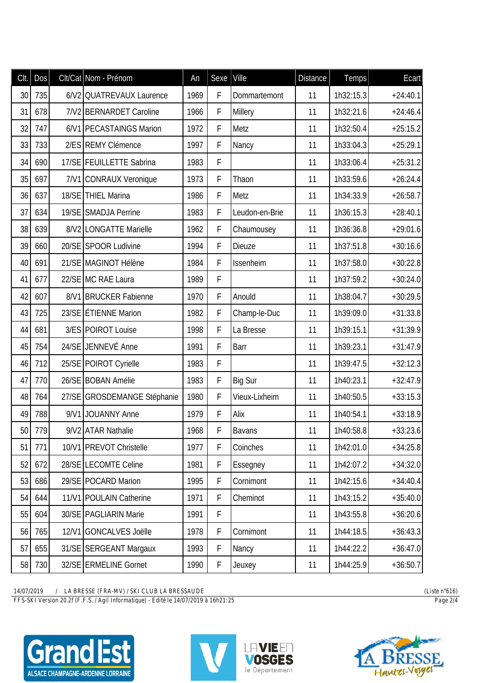| Clt. | Dos | Clt/Cat Nom - Prénom        | An   | Sexe        | Ville          | <b>Distance</b> | Temps     | Ecart      |
|------|-----|-----------------------------|------|-------------|----------------|-----------------|-----------|------------|
| 30   | 735 | 6/V2 QUATREVAUX Laurence    | 1969 | F           | Dommartemont   | 11              | 1h32:15.3 | $+24:40.1$ |
| 31   | 678 | 7/V2 BERNARDET Caroline     | 1966 | F           | <b>Millery</b> | 11              | 1h32:21.6 | $+24:46.4$ |
| 32   | 747 | 6/V1 PECASTAINGS Marion     | 1972 | F           | Metz           | 11              | 1h32:50.4 | $+25:15.2$ |
| 33   | 733 | 2/ES REMY Clémence          | 1997 | F           | Nancy          | 11              | 1h33:04.3 | $+25:29.1$ |
| 34   | 690 | 17/SE   FEUILLETTE Sabrina  | 1983 | F           |                | 11              | 1h33:06.4 | $+25:31.2$ |
| 35   | 697 | 7/V1 CONRAUX Veronique      | 1973 | F           | Thaon          | 11              | 1h33:59.6 | $+26:24.4$ |
| 36   | 637 | 18/SE THIEL Marina          | 1986 | F           | Metz           | 11              | 1h34:33.9 | $+26:58.7$ |
| 37   | 634 | 19/SE SMADJA Perrine        | 1983 | F           | Leudon-en-Brie | 11              | 1h36:15.3 | $+28:40.1$ |
| 38   | 639 | 8/V2 LONGATTE Marielle      | 1962 | F           | Chaumousey     | 11              | 1h36:36.8 | $+29:01.6$ |
| 39   | 660 | 20/SE SPOOR Ludivine        | 1994 | F           | Dieuze         | 11              | 1h37:51.8 | $+30:16.6$ |
| 40   | 691 | 21/SE MAGINOT Hélène        | 1984 | F           | Issenheim      | 11              | 1h37:58.0 | $+30:22.8$ |
| 41   | 677 | 22/SE MC RAE Laura          | 1989 | F           |                | 11              | 1h37:59.2 | $+30:24.0$ |
| 42   | 607 | 8/V1 BRUCKER Fabienne       | 1970 | F           | Anould         | 11              | 1h38:04.7 | $+30:29.5$ |
| 43   | 725 | 23/SE ETIENNE Marion        | 1982 | F           | Champ-le-Duc   | 11              | 1h39:09.0 | $+31:33.8$ |
| 44   | 681 | 3/ES POIROT Louise          | 1998 | F           | La Bresse      | 11              | 1h39:15.1 | $+31:39.9$ |
| 45   | 754 | 24/SE JENNEVÉ Anne          | 1991 | F           | Barr           | 11              | 1h39:23.1 | $+31:47.9$ |
| 46   | 712 | 25/SE POIROT Cyrielle       | 1983 | F           |                | 11              | 1h39:47.5 | $+32:12.3$ |
| 47   | 770 | 26/SE BOBAN Amélie          | 1983 | F           | <b>Big Sur</b> | 11              | 1h40:23.1 | $+32:47.9$ |
| 48   | 764 | 27/SE GROSDEMANGE Stéphanie | 1980 | F           | Vieux-Lixheim  | 11              | 1h40:50.5 | $+33:15.3$ |
| 49   | 788 | 9/V1 JOUANNY Anne           | 1979 | F           | Alix           | 11              | 1h40:54.1 | $+33:18.9$ |
| 50   | 779 | 9/V2 ATAR Nathalie          | 1968 | F           | Bavans         | 11              | 1h40:58.8 | $+33:23.6$ |
| 51   | 771 | 10/V1 PREVOT Christelle     | 1977 | F           | Coinches       | 11              | 1h42:01.0 | $+34:25.8$ |
| 52   | 672 | 28/SE LECOMTE Celine        | 1981 | F           | Essegney       | 11              | 1h42:07.2 | $+34:32.0$ |
| 53   | 686 | 29/SE POCARD Marion         | 1995 | F           | Cornimont      | 11              | 1h42:15.6 | $+34:40.4$ |
| 54   | 644 | 11/V1 POULAIN Catherine     | 1971 | F           | Cheminot       | 11              | 1h43:15.2 | $+35:40.0$ |
| 55   | 604 | 30/SE PAGLIARIN Marie       | 1991 | F           |                | 11              | 1h43:55.8 | $+36:20.6$ |
| 56   | 765 | 12/V1 GONCALVES Joëlle      | 1978 | $\mathsf F$ | Cornimont      | 11              | 1h44:18.5 | $+36:43.3$ |
| 57   | 655 | 31/SE SERGEANT Margaux      | 1993 | F           | Nancy          | 11              | 1h44:22.2 | $+36:47.0$ |
| 58   | 730 | 32/SE ERMELINE Gornet       | 1990 | F           | Jeuxey         | 11              | 1h44:25.9 | $+36:50.7$ |

*14/07/2019 / LA BRESSE (FRA-MV) / SKI CLUB LA BRESSAUDE (Liste n°616)*

*FFS-SKI Version 20.2f (F.F.S. / Agil Informatique) - Edité le 14/07/2019 à 16h21:25 Page 2/4*





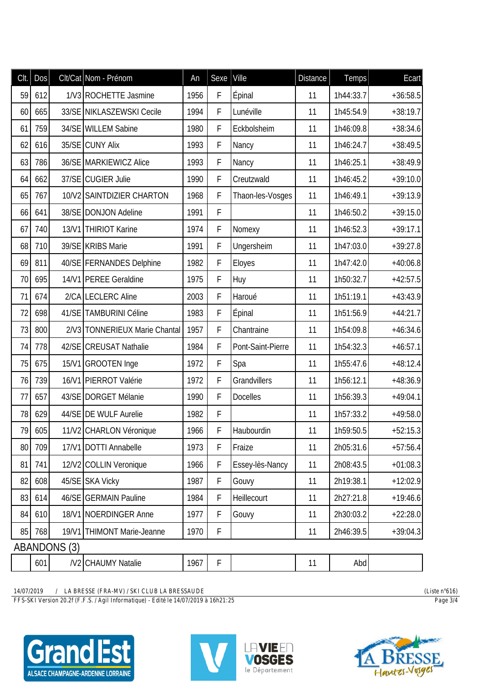| CIt. | <b>Dos</b> |              | Clt/Cat Nom - Prénom           | An   | Sexe        | Ville             | <b>Distance</b> | <b>Temps</b> | Ecart      |
|------|------------|--------------|--------------------------------|------|-------------|-------------------|-----------------|--------------|------------|
| 59   | 612        |              | 1/V3 ROCHETTE Jasmine          | 1956 | F           | Épinal            | 11              | 1h44:33.7    | $+36:58.5$ |
| 60   | 665        |              | 33/SE NIKLASZEWSKI Cecile      | 1994 | F           | Lunéville         | 11              | 1h45:54.9    | $+38:19.7$ |
| 61   | 759        |              | 34/SE WILLEM Sabine            | 1980 | F           | Eckbolsheim       | 11              | 1h46:09.8    | $+38:34.6$ |
| 62   | 616        |              | 35/SE CUNY Alix                | 1993 | F           | Nancy             | 11              | 1h46:24.7    | $+38:49.5$ |
| 63   | 786        |              | 36/SE MARKIEWICZ Alice         | 1993 | F           | Nancy             | 11              | 1h46:25.1    | $+38:49.9$ |
| 64   | 662        |              | 37/SE CUGIER Julie             | 1990 | F           | Creutzwald        | 11              | 1h46:45.2    | $+39:10.0$ |
| 65   | 767        |              | 10/V2 SAINTDIZIER CHARTON      | 1968 | F           | Thaon-les-Vosges  | 11              | 1h46:49.1    | $+39:13.9$ |
| 66   | 641        |              | 38/SE DONJON Adeline           | 1991 | F           |                   | 11              | 1h46:50.2    | $+39:15.0$ |
| 67   | 740        |              | 13/V1 THIRIOT Karine           | 1974 | F           | Nomexy            | 11              | 1h46:52.3    | $+39:17.1$ |
| 68   | 710        |              | 39/SE KRIBS Marie              | 1991 | $\mathsf F$ | Ungersheim        | 11              | 1h47:03.0    | $+39:27.8$ |
| 69   | 811        |              | 40/SE FERNANDES Delphine       | 1982 | F           | Eloyes            | 11              | 1h47:42.0    | $+40:06.8$ |
| 70   | 695        |              | 14/V1 PEREE Geraldine          | 1975 | F           | Huy               | 11              | 1h50:32.7    | $+42:57.5$ |
| 71   | 674        |              | 2/CALECLERC Aline              | 2003 | F           | Haroué            | 11              | 1h51:19.1    | $+43:43.9$ |
| 72   | 698        |              | 41/SE TAMBURINI Céline         | 1983 | F           | Épinal            | 11              | 1h51:56.9    | $+44:21.7$ |
| 73   | 800        |              | 2/V3 TONNERIEUX Marie Chantal  | 1957 | F           | Chantraine        | 11              | 1h54:09.8    | $+46:34.6$ |
| 74   | 778        |              | 42/SE CREUSAT Nathalie         | 1984 | F           | Pont-Saint-Pierre | 11              | 1h54:32.3    | $+46:57.1$ |
| 75   | 675        |              | 15/V1 GROOTEN Inge             | 1972 | F           | Spa               | 11              | 1h55:47.6    | $+48:12.4$ |
| 76   | 739        |              | 16/V1 PIERROT Valérie          | 1972 | F           | Grandvillers      | 11              | 1h56:12.1    | $+48:36.9$ |
| 77   | 657        |              | 43/SE DORGET Mélanie           | 1990 | F           | <b>Docelles</b>   | 11              | 1h56:39.3    | $+49:04.1$ |
| 78   | 629        |              | 44/SE DE WULF Aurelie          | 1982 | F           |                   | 11              | 1h57:33.2    | $+49:58.0$ |
| 79   | 605        |              | 11/V2 CHARLON Véronique        | 1966 | F           | Haubourdin        | 11              | 1h59:50.5    | $+52:15.3$ |
| 80   | 709        |              | 17/V1 DOTTI Annabelle          | 1973 | F           | Fraize            | 11              | 2h05:31.6    | $+57:56.4$ |
| 81   | 741        |              | 12/V2 COLLIN Veronique         | 1966 | F           | Essey-lès-Nancy   | 11              | 2h08:43.5    | $+01:08.3$ |
| 82   | 608        |              | 45/SE SKA Vicky                | 1987 | F           | Gouvy             | 11              | 2h19:38.1    | $+12:02.9$ |
| 83   | 614        |              | 46/SE GERMAIN Pauline          | 1984 | F           | Heillecourt       | 11              | 2h27:21.8    | $+19:46.6$ |
| 84   | 610        |              | 18/V1 NOERDINGER Anne          | 1977 | F           | Gouvy             | 11              | 2h30:03.2    | $+22:28.0$ |
| 85   | 768        |              | 19/V1 THIMONT Marie-Jeanne     | 1970 | F           |                   | 11              | 2h46:39.5    | $+39:04.3$ |
|      |            | ABANDONS (3) |                                |      |             |                   |                 |              |            |
|      | 601        |              | /V <sub>2</sub> CHAUMY Natalie | 1967 | F           |                   | 11              | Abd          |            |

*14/07/2019 / LA BRESSE (FRA-MV) / SKI CLUB LA BRESSAUDE (Liste n°616)*

*FFS-SKI Version 20.2f (F.F.S. / Agil Informatique) - Edité le 14/07/2019 à 16h21:25 Page 3/4*